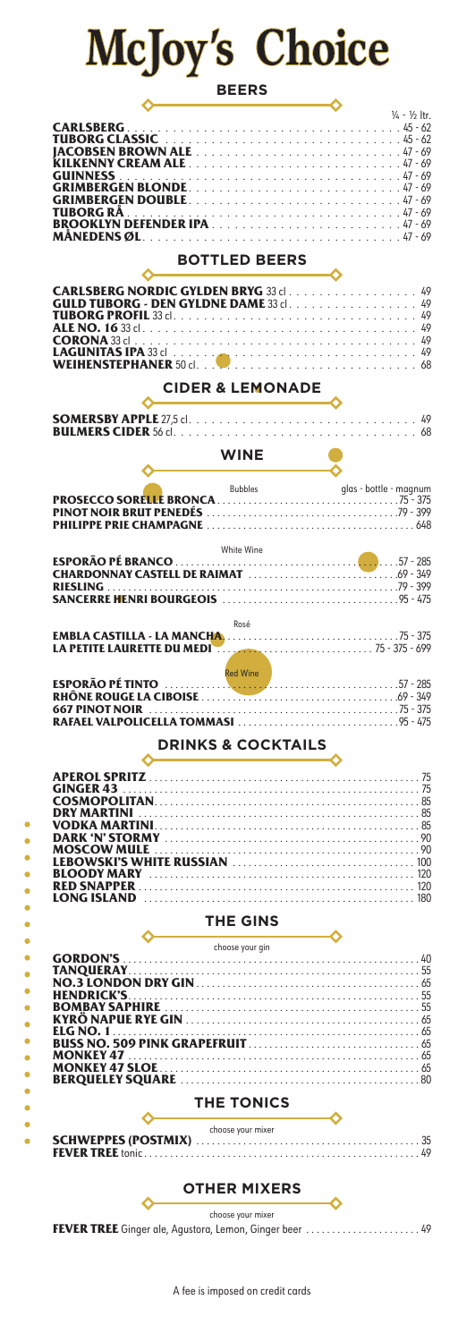## McJoy's Choice

|--|--|

| <b>GRIMBERGEN BLONDE47-69</b><br><b>GRIMBERGEN DOUBLE</b> 47-69<br>TUBORG RA .<br><b>BOTTLED BEERS</b><br><b>CARLSBERG NORDIC GYLDEN BRYG 33 cl. 49</b><br><b>GULD TUBORG - DEN GYLDNE DAME</b> 33 cl. 49<br><b>CORONA</b> 33 cl<br><b>WEIHENSTEPHANER</b> 50 cl<br><b>CIDER &amp; LEMONADE</b><br><b>WINE</b><br>glas - bottle - magnum<br><b>Bubbles</b><br>White Wine<br><b>RIESLING</b><br>Rosé<br><b>Red Wine</b><br><b>667 PINOT NOIR</b><br><b>DRINKS &amp; COCKTAILS</b><br><b>GINGER 43</b><br><b>DRY MARTINI</b><br><b>THE GINS</b><br>choose your gin<br><b>BOMBAY SAPHIRE</b><br><b>ELG NO. 1</b><br><b>THE TONICS</b><br>choose your mixer<br><b>OTHER MIXERS</b><br>choose your mixer |                  | $\frac{1}{4}$ - $\frac{1}{2}$ ltr. |
|-----------------------------------------------------------------------------------------------------------------------------------------------------------------------------------------------------------------------------------------------------------------------------------------------------------------------------------------------------------------------------------------------------------------------------------------------------------------------------------------------------------------------------------------------------------------------------------------------------------------------------------------------------------------------------------------------------|------------------|------------------------------------|
|                                                                                                                                                                                                                                                                                                                                                                                                                                                                                                                                                                                                                                                                                                     | <b>CARLSBERG</b> |                                    |
|                                                                                                                                                                                                                                                                                                                                                                                                                                                                                                                                                                                                                                                                                                     |                  |                                    |
|                                                                                                                                                                                                                                                                                                                                                                                                                                                                                                                                                                                                                                                                                                     |                  |                                    |
|                                                                                                                                                                                                                                                                                                                                                                                                                                                                                                                                                                                                                                                                                                     |                  |                                    |
|                                                                                                                                                                                                                                                                                                                                                                                                                                                                                                                                                                                                                                                                                                     |                  |                                    |
|                                                                                                                                                                                                                                                                                                                                                                                                                                                                                                                                                                                                                                                                                                     |                  |                                    |
|                                                                                                                                                                                                                                                                                                                                                                                                                                                                                                                                                                                                                                                                                                     |                  |                                    |
|                                                                                                                                                                                                                                                                                                                                                                                                                                                                                                                                                                                                                                                                                                     |                  |                                    |
|                                                                                                                                                                                                                                                                                                                                                                                                                                                                                                                                                                                                                                                                                                     |                  |                                    |
|                                                                                                                                                                                                                                                                                                                                                                                                                                                                                                                                                                                                                                                                                                     |                  |                                    |
|                                                                                                                                                                                                                                                                                                                                                                                                                                                                                                                                                                                                                                                                                                     |                  |                                    |
|                                                                                                                                                                                                                                                                                                                                                                                                                                                                                                                                                                                                                                                                                                     |                  |                                    |
|                                                                                                                                                                                                                                                                                                                                                                                                                                                                                                                                                                                                                                                                                                     |                  |                                    |
|                                                                                                                                                                                                                                                                                                                                                                                                                                                                                                                                                                                                                                                                                                     |                  |                                    |
|                                                                                                                                                                                                                                                                                                                                                                                                                                                                                                                                                                                                                                                                                                     |                  |                                    |
|                                                                                                                                                                                                                                                                                                                                                                                                                                                                                                                                                                                                                                                                                                     |                  |                                    |
|                                                                                                                                                                                                                                                                                                                                                                                                                                                                                                                                                                                                                                                                                                     |                  |                                    |
|                                                                                                                                                                                                                                                                                                                                                                                                                                                                                                                                                                                                                                                                                                     |                  |                                    |
|                                                                                                                                                                                                                                                                                                                                                                                                                                                                                                                                                                                                                                                                                                     |                  |                                    |
|                                                                                                                                                                                                                                                                                                                                                                                                                                                                                                                                                                                                                                                                                                     |                  |                                    |
|                                                                                                                                                                                                                                                                                                                                                                                                                                                                                                                                                                                                                                                                                                     |                  |                                    |
|                                                                                                                                                                                                                                                                                                                                                                                                                                                                                                                                                                                                                                                                                                     |                  |                                    |
|                                                                                                                                                                                                                                                                                                                                                                                                                                                                                                                                                                                                                                                                                                     |                  |                                    |
|                                                                                                                                                                                                                                                                                                                                                                                                                                                                                                                                                                                                                                                                                                     |                  |                                    |
|                                                                                                                                                                                                                                                                                                                                                                                                                                                                                                                                                                                                                                                                                                     |                  |                                    |
|                                                                                                                                                                                                                                                                                                                                                                                                                                                                                                                                                                                                                                                                                                     |                  |                                    |
|                                                                                                                                                                                                                                                                                                                                                                                                                                                                                                                                                                                                                                                                                                     |                  |                                    |
|                                                                                                                                                                                                                                                                                                                                                                                                                                                                                                                                                                                                                                                                                                     |                  |                                    |
|                                                                                                                                                                                                                                                                                                                                                                                                                                                                                                                                                                                                                                                                                                     |                  |                                    |
|                                                                                                                                                                                                                                                                                                                                                                                                                                                                                                                                                                                                                                                                                                     |                  |                                    |
|                                                                                                                                                                                                                                                                                                                                                                                                                                                                                                                                                                                                                                                                                                     |                  |                                    |
|                                                                                                                                                                                                                                                                                                                                                                                                                                                                                                                                                                                                                                                                                                     |                  |                                    |
|                                                                                                                                                                                                                                                                                                                                                                                                                                                                                                                                                                                                                                                                                                     |                  |                                    |
|                                                                                                                                                                                                                                                                                                                                                                                                                                                                                                                                                                                                                                                                                                     |                  |                                    |
|                                                                                                                                                                                                                                                                                                                                                                                                                                                                                                                                                                                                                                                                                                     |                  |                                    |
|                                                                                                                                                                                                                                                                                                                                                                                                                                                                                                                                                                                                                                                                                                     |                  |                                    |
|                                                                                                                                                                                                                                                                                                                                                                                                                                                                                                                                                                                                                                                                                                     |                  |                                    |
|                                                                                                                                                                                                                                                                                                                                                                                                                                                                                                                                                                                                                                                                                                     |                  |                                    |
|                                                                                                                                                                                                                                                                                                                                                                                                                                                                                                                                                                                                                                                                                                     |                  |                                    |
|                                                                                                                                                                                                                                                                                                                                                                                                                                                                                                                                                                                                                                                                                                     |                  |                                    |
|                                                                                                                                                                                                                                                                                                                                                                                                                                                                                                                                                                                                                                                                                                     |                  |                                    |
|                                                                                                                                                                                                                                                                                                                                                                                                                                                                                                                                                                                                                                                                                                     |                  |                                    |
|                                                                                                                                                                                                                                                                                                                                                                                                                                                                                                                                                                                                                                                                                                     |                  |                                    |
|                                                                                                                                                                                                                                                                                                                                                                                                                                                                                                                                                                                                                                                                                                     |                  |                                    |
|                                                                                                                                                                                                                                                                                                                                                                                                                                                                                                                                                                                                                                                                                                     |                  |                                    |
|                                                                                                                                                                                                                                                                                                                                                                                                                                                                                                                                                                                                                                                                                                     |                  |                                    |
|                                                                                                                                                                                                                                                                                                                                                                                                                                                                                                                                                                                                                                                                                                     |                  |                                    |
|                                                                                                                                                                                                                                                                                                                                                                                                                                                                                                                                                                                                                                                                                                     |                  |                                    |
|                                                                                                                                                                                                                                                                                                                                                                                                                                                                                                                                                                                                                                                                                                     |                  |                                    |
|                                                                                                                                                                                                                                                                                                                                                                                                                                                                                                                                                                                                                                                                                                     |                  |                                    |
|                                                                                                                                                                                                                                                                                                                                                                                                                                                                                                                                                                                                                                                                                                     |                  |                                    |
|                                                                                                                                                                                                                                                                                                                                                                                                                                                                                                                                                                                                                                                                                                     |                  |                                    |
|                                                                                                                                                                                                                                                                                                                                                                                                                                                                                                                                                                                                                                                                                                     |                  |                                    |
|                                                                                                                                                                                                                                                                                                                                                                                                                                                                                                                                                                                                                                                                                                     |                  |                                    |
|                                                                                                                                                                                                                                                                                                                                                                                                                                                                                                                                                                                                                                                                                                     |                  |                                    |
| <b>FEVER TREE</b> Ginger ale, Agustora, Lemon, Ginger beer  49                                                                                                                                                                                                                                                                                                                                                                                                                                                                                                                                                                                                                                      |                  |                                    |

A fee is imposed on credit cards